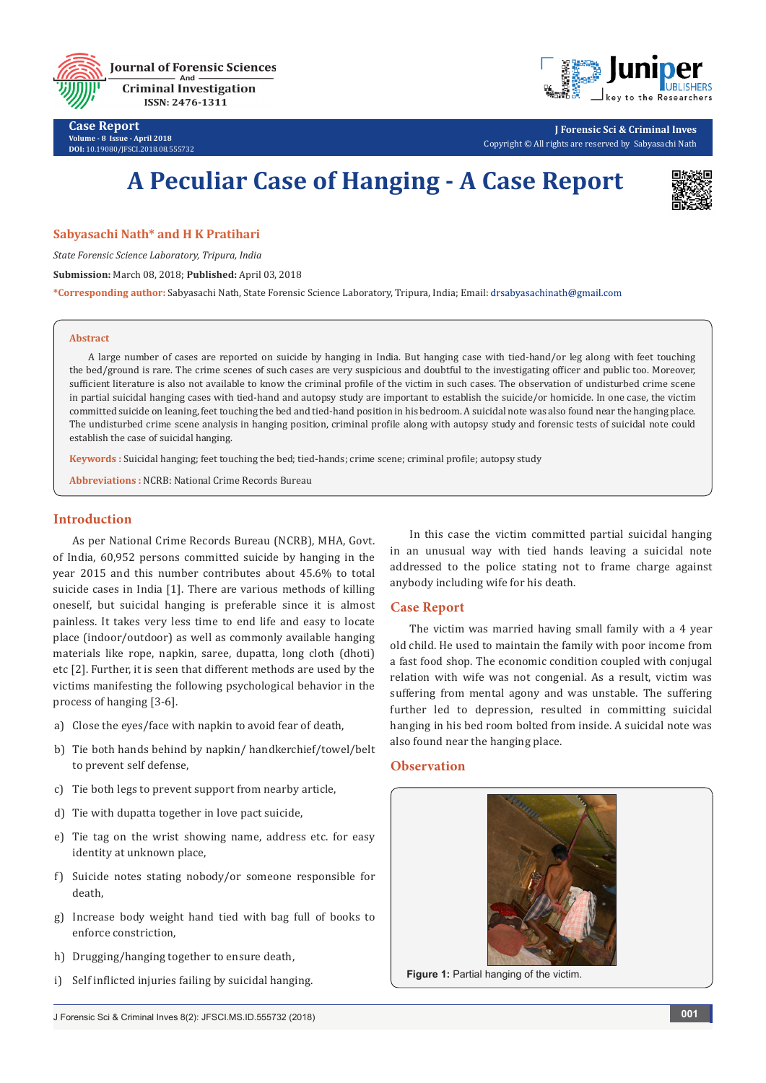

**Case Report Volume - 8 Issue - April 2018 DOI:** [10.19080/JFSCI.2018.08.555732](http://dx.doi.org/10.19080/JFSCI.2018.08.555732)

**J Forensic Sci & Criminal Inves** Copyright © All rights are reserved by Sabyasachi Nath

# **A Peculiar Case of Hanging - A Case Report**



### **Sabyasachi Nath\* and H K Pratihari**

*State Forensic Science Laboratory, Tripura, India*

**Submission:** March 08, 2018; **Published:** April 03, 2018

**\*Corresponding author:** Sabyasachi Nath, State Forensic Science Laboratory, Tripura, India; Email:

#### **Abstract**

A large number of cases are reported on suicide by hanging in India. But hanging case with tied-hand/or leg along with feet touching the bed/ground is rare. The crime scenes of such cases are very suspicious and doubtful to the investigating officer and public too. Moreover, sufficient literature is also not available to know the criminal profile of the victim in such cases. The observation of undisturbed crime scene in partial suicidal hanging cases with tied-hand and autopsy study are important to establish the suicide/or homicide. In one case, the victim committed suicide on leaning, feet touching the bed and tied-hand position in his bedroom. A suicidal note was also found near the hanging place. The undisturbed crime scene analysis in hanging position, criminal profile along with autopsy study and forensic tests of suicidal note could establish the case of suicidal hanging.

**Keywords :** Suicidal hanging; feet touching the bed; tied-hands; crime scene; criminal profile; autopsy study

**Abbreviations :** NCRB: National Crime Records Bureau

#### **Introduction**

As per National Crime Records Bureau (NCRB), MHA, Govt. of India, 60,952 persons committed suicide by hanging in the year 2015 and this number contributes about 45.6% to total suicide cases in India [1]. There are various methods of killing oneself, but suicidal hanging is preferable since it is almost painless. It takes very less time to end life and easy to locate place (indoor/outdoor) as well as commonly available hanging materials like rope, napkin, saree, dupatta, long cloth (dhoti) etc [2]. Further, it is seen that different methods are used by the victims manifesting the following psychological behavior in the process of hanging [3-6].

- a) Close the eyes/face with napkin to avoid fear of death,
- b) Tie both hands behind by napkin/ handkerchief/towel/belt to prevent self defense,
- c) Tie both legs to prevent support from nearby article,
- d) Tie with dupatta together in love pact suicide,
- e) Tie tag on the wrist showing name, address etc. for easy identity at unknown place,
- f) Suicide notes stating nobody/or someone responsible for death,
- g) Increase body weight hand tied with bag full of books to enforce constriction,
- h) Drugging/hanging together to ensure death,
- i) Self inflicted injuries failing by suicidal hanging.

In this case the victim committed partial suicidal hanging in an unusual way with tied hands leaving a suicidal note addressed to the police stating not to frame charge against anybody including wife for his death.

## **Case Report**

The victim was married having small family with a 4 year old child. He used to maintain the family with poor income from a fast food shop. The economic condition coupled with conjugal relation with wife was not congenial. As a result, victim was suffering from mental agony and was unstable. The suffering further led to depression, resulted in committing suicidal hanging in his bed room bolted from inside. A suicidal note was also found near the hanging place.

## **Observation**



**Figure 1:** Partial hanging of the victim.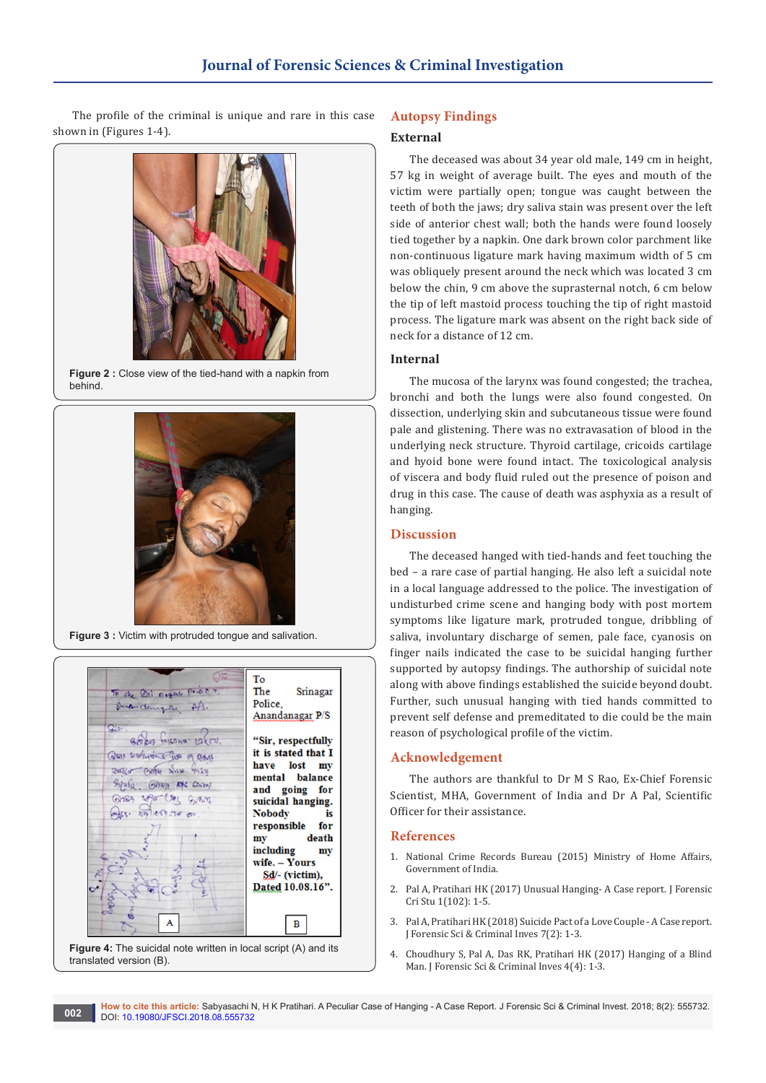The profile of the criminal is unique and rare in this case shown in (Figures 1-4).



**Figure 2 :** Close view of the tied-hand with a napkin from behind.



**Figure 3 :** Victim with protruded tongue and salivation.



**Figure 4:** The suicidal note written in local script (A) and its translated version (B).

## **Autopsy Findings**

## **External**

The deceased was about 34 year old male, 149 cm in height, 57 kg in weight of average built. The eyes and mouth of the victim were partially open; tongue was caught between the teeth of both the jaws; dry saliva stain was present over the left side of anterior chest wall; both the hands were found loosely tied together by a napkin. One dark brown color parchment like non-continuous ligature mark having maximum width of 5 cm was obliquely present around the neck which was located 3 cm below the chin, 9 cm above the suprasternal notch, 6 cm below the tip of left mastoid process touching the tip of right mastoid process. The ligature mark was absent on the right back side of neck for a distance of 12 cm.

## **Internal**

The mucosa of the larynx was found congested; the trachea, bronchi and both the lungs were also found congested. On dissection, underlying skin and subcutaneous tissue were found pale and glistening. There was no extravasation of blood in the underlying neck structure. Thyroid cartilage, cricoids cartilage and hyoid bone were found intact. The toxicological analysis of viscera and body fluid ruled out the presence of poison and drug in this case. The cause of death was asphyxia as a result of hanging.

## **Discussion**

The deceased hanged with tied-hands and feet touching the bed – a rare case of partial hanging. He also left a suicidal note in a local language addressed to the police. The investigation of undisturbed crime scene and hanging body with post mortem symptoms like ligature mark, protruded tongue, dribbling of saliva, involuntary discharge of semen, pale face, cyanosis on finger nails indicated the case to be suicidal hanging further supported by autopsy findings. The authorship of suicidal note along with above findings established the suicide beyond doubt. Further, such unusual hanging with tied hands committed to prevent self defense and premeditated to die could be the main reason of psychological profile of the victim.

#### **Acknowledgement**

The authors are thankful to Dr M S Rao, Ex-Chief Forensic Scientist, MHA, Government of India and Dr A Pal, Scientific Officer for their assistance.

#### **References**

- 1. [National Crime Records Bureau \(2015\) Ministry of Home Affairs,](http://ncrb.gov.in/StatPublications/CII/CII2016/pdfs/NEWPDFs/Crime%20in%20India%20-%202016%20Complete%20PDF%20291117.pdf)  [Government of India.](http://ncrb.gov.in/StatPublications/CII/CII2016/pdfs/NEWPDFs/Crime%20in%20India%20-%202016%20Complete%20PDF%20291117.pdf)
- 2. Pal A, Pratihari HK (2017) Unusual Hanging- A Case report. J Forensic Cri Stu 1(102): 1-5.
- 3. Pal A, Pratihari HK (2018) Suicide Pact of a Love Couple A Case report. J Forensic Sci & Criminal Inves 7(2): 1-3.
- 4. Choudhury S, Pal A, Das RK, Pratihari HK (2017) Hanging of a Blind Man. J Forensic Sci & Criminal Inves 4(4): 1-3.